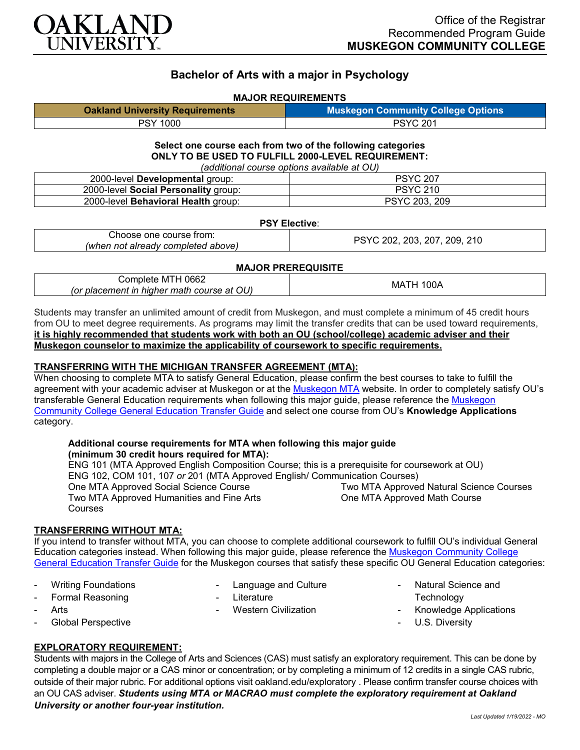

# **Bachelor of Arts with a major in Psychology**

#### **MAJOR REQUIREMENTS**

| <b>Oakland University Requirements</b> | <b>Muskegon Community College Options</b> |
|----------------------------------------|-------------------------------------------|
| <b>PSY 1000</b>                        | <b>PSYC 201</b>                           |

#### **Select one course each from two of the following categories ONLY TO BE USED TO FULFILL 2000-LEVEL REQUIREMENT:** *(additional course options available at OU)*

|                                            | (additional course options available at OO) |
|--------------------------------------------|---------------------------------------------|
| 2000-level Developmental group:            | <b>PSYC 207</b>                             |
| 2000-level Social Personality group:       | <b>PSYC 210</b>                             |
| 2000-level <b>Behavioral Health</b> group: | PSYC 203, 209                               |

#### **PSY Elective**:

| : course from:      | 210   |
|---------------------|-------|
| ∴hoose              | 203   |
| one                 | 207   |
| : aiready completed | 209   |
| ' above.            | ∩∩י   |
| (when               | 117   |
| not                 | - - - |

## **MAJOR PREREQUISITE**

| OU)<br><i>(or placement in higher math course at Q.</i> ) |
|-----------------------------------------------------------|
|-----------------------------------------------------------|

Students may transfer an unlimited amount of credit from Muskegon, and must complete a minimum of 45 credit hours from OU to meet degree requirements. As programs may limit the transfer credits that can be used toward requirements, **it is highly recommended that students work with both an OU (school/college) academic adviser and their Muskegon counselor to maximize the applicability of coursework to specific requirements.**

#### **TRANSFERRING WITH THE MICHIGAN TRANSFER AGREEMENT (MTA):**

When choosing to complete MTA to satisfy General Education, please confirm the best courses to take to fulfill the agreement with your academic adviser at Muskegon or at the [Muskegon MTA](http://www.muskegoncc.edu/transferservices/wp-content/uploads/sites/147/2019/10/MTA-guide-2019-20-Revised-July-23-2019.pdf) website. In order to completely satisfy OU's transferable General Education requirements when following this major guide, please reference the [Muskegon](https://www.oakland.edu/Assets/Oakland/program-guides/muskegon-community-college/university-general-education-requirements/Muskegon%20Gen%20Ed.pdf)  [Community College General Education Transfer Guide](https://www.oakland.edu/Assets/Oakland/program-guides/muskegon-community-college/university-general-education-requirements/Muskegon%20Gen%20Ed.pdf) and select one course from OU's **Knowledge Applications** category.

#### **Additional course requirements for MTA when following this major guide (minimum 30 credit hours required for MTA):**

ENG 101 (MTA Approved English Composition Course; this is a prerequisite for coursework at OU) ENG 102, COM 101, 107 *or* 201 (MTA Approved English/ Communication Courses) One MTA Approved Social Science Course Two MTA Approved Humanities and Fine Arts Courses Two MTA Approved Natural Science Courses One MTA Approved Math Course

## **TRANSFERRING WITHOUT MTA:**

If you intend to transfer without MTA, you can choose to complete additional coursework to fulfill OU's individual General Education categories instead. When following this major guide, please reference the [Muskegon Community College](https://www.oakland.edu/Assets/Oakland/program-guides/muskegon-community-college/university-general-education-requirements/Muskegon%20Gen%20Ed.pdf)  [General Education Transfer Guide](https://www.oakland.edu/Assets/Oakland/program-guides/muskegon-community-college/university-general-education-requirements/Muskegon%20Gen%20Ed.pdf) for the Muskegon courses that satisfy these specific OU General Education categories:

**Writing Foundations** 

Language and Culture

Western Civilization

**Literature** 

- Formal Reasoning
- **Arts**
- Global Perspective

## **EXPLORATORY REQUIREMENT:**

Students with majors in the College of Arts and Sciences (CAS) must satisfy an exploratory requirement. This can be done by completing a double major or a CAS minor or concentration; or by completing a minimum of 12 credits in a single CAS rubric, outside of their major rubric. For additional options visit [oakland.edu/exploratory](http://www.oakland.edu/exploratory) . Please confirm transfer course choices with an OU CAS adviser. *Students using MTA or MACRAO must complete the exploratory requirement at Oakland University or another four-year institution.*

Natural Science and

- Knowledge Applications

**Technology** 

U.S. Diversity